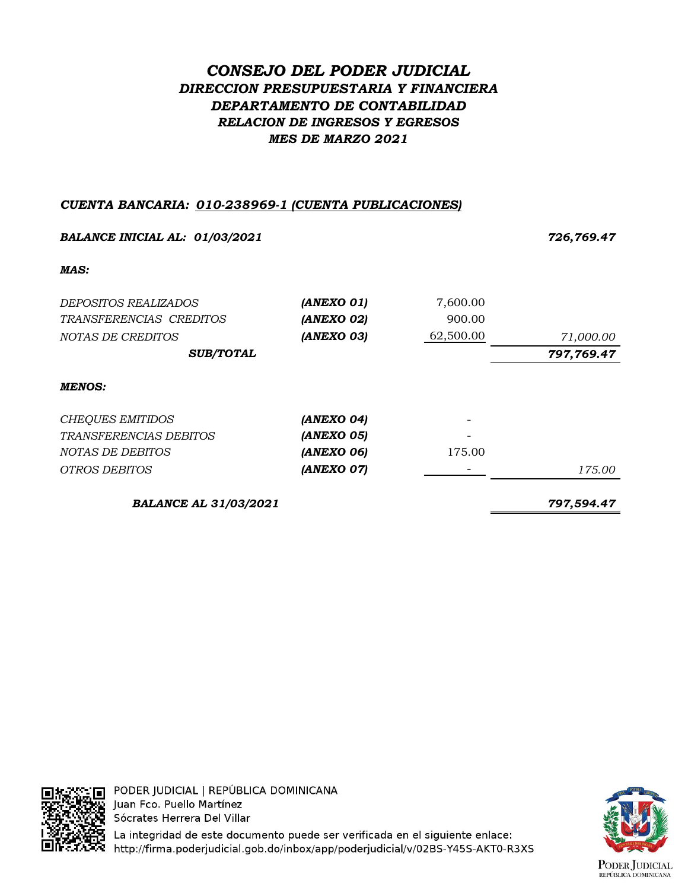# *CONSEJO DEL PODER JUDICIAL DIRECCION PRESUPUESTARIA Y FINANCIERA DEPARTAMENTO DE CONTABILIDAD RELACION DE INGRESOS Y EGRESOS MES DE MARZO 2021*

### *CUENTA BANCARIA: 010-238969-1 (CUENTA PUBLICACIONES)*

| <b>BALANCE INICIAL AL: 01/03/2021</b> |            |           | 726,769.47 |
|---------------------------------------|------------|-----------|------------|
| MAS:                                  |            |           |            |
| <i>DEPOSITOS REALIZADOS</i>           | (ANEXO 01) | 7,600.00  |            |
| TRANSFERENCIAS CREDITOS               | (ANEXO 02) | 900.00    |            |
| NOTAS DE CREDITOS                     | (ANEXO 03) | 62,500.00 | 71,000.00  |
| <b>SUB/TOTAL</b>                      |            |           | 797,769.47 |
| <b>MENOS:</b>                         |            |           |            |
| <b>CHEQUES EMITIDOS</b>               | (ANEXO 04) |           |            |
| <i>TRANSFERENCIAS DEBITOS</i>         | (ANEXO 05) |           |            |
| NOTAS DE DEBITOS                      | (ANEXO 06) | 175.00    |            |
| OTROS DEBITOS                         | (ANEXO 07) |           | 175.00     |
| <b>BALANCE AL 31/03/2021</b>          |            |           | 797.594.47 |



**AVALITE** PODER JUDICIAL | REPÚBLICA DOMINICANA Juan Fco. Puello Martínez Sócrates Herrera Del Villar

La integridad de este documento puede ser verificada en el siguiente enlace: http://firma.poderjudicial.gob.do/inbox/app/poderjudicial/v/02BS-Y45S-AKT0-R3XS

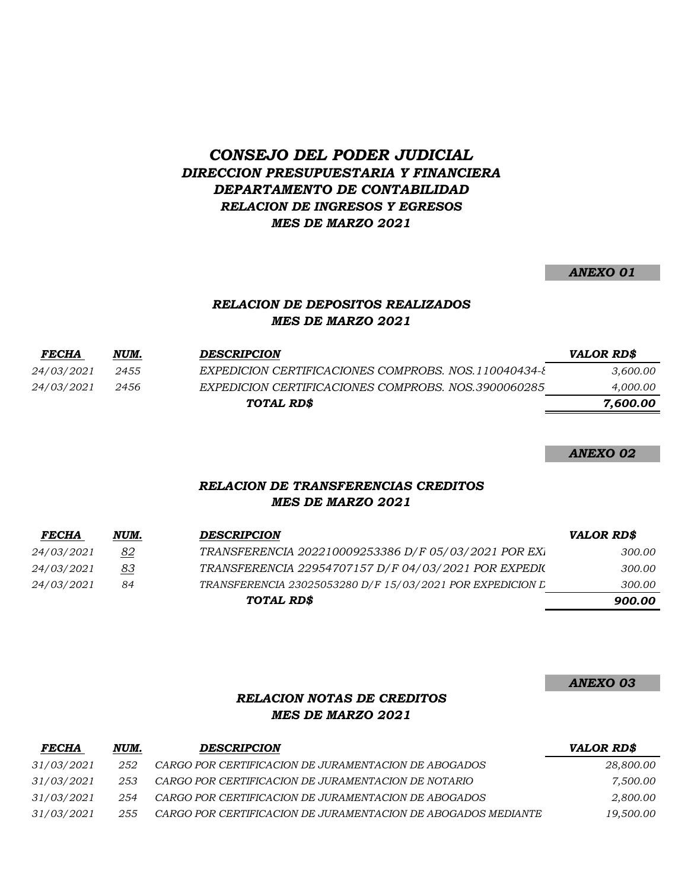## *CONSEJO DEL PODER JUDICIAL DIRECCION PRESUPUESTARIA Y FINANCIERA DEPARTAMENTO DE CONTABILIDAD RELACION DE INGRESOS Y EGRESOS MES DE MARZO 2021*

#### *ANEXO 01*

### *RELACION DE DEPOSITOS REALIZADOS MES DE MARZO 2021*

| <b>FECHA</b>      | NUM. | <b>DESCRIPCION</b>                                    | VALOR RD\$ |
|-------------------|------|-------------------------------------------------------|------------|
| <i>24/03/2021</i> | 2455 | EXPEDICION CERTIFICACIONES COMPROBS. NOS. 110040434-8 | 3,600.00   |
| <i>24/03/2021</i> | 2456 | EXPEDICION CERTIFICACIONES COMPROBS, NOS.3900060285   | 4,000.00   |
|                   |      | TOTAL RD\$                                            | 7,600.00   |
|                   |      |                                                       |            |

*ANEXO 02*

### *RELACION DE TRANSFERENCIAS CREDITOS MES DE MARZO 2021*

| <b>FECHA</b>      | NUM. | <b>DESCRIPCION</b>                                        | <b>VALOR RD\$</b> |
|-------------------|------|-----------------------------------------------------------|-------------------|
| <i>24/03/2021</i> | 82   | TRANSFERENCIA 202210009253386 D/F 05/03/2021 POR EXI      | 300.00            |
| 24/03/2021        | 83   | TRANSFERENCIA 22954707157 D/F 04/03/2021 POR EXPEDIC      | 300.00            |
| <i>24/03/2021</i> | 84   | TRANSFERENCIA 23025053280 D/F 15/03/2021 POR EXPEDICION L | 300.00            |
|                   |      | TOTAL RD\$                                                | 900.00            |

*ANEXO 03*

## *RELACION NOTAS DE CREDITOS MES DE MARZO 2021*

| <i>FECHA</i>      | NUM. | <b>DESCRIPCION</b>                                            | <b>VALOR RD\$</b> |
|-------------------|------|---------------------------------------------------------------|-------------------|
| <i>31/03/2021</i> | 252  | CARGO POR CERTIFICACION DE JURAMENTACION DE ABOGADOS          | 28,800.00         |
| 31/03/2021        | 253  | CARGO POR CERTIFICACION DE JURAMENTACION DE NOTARIO           | 7.500.00          |
| <i>31/03/2021</i> | 254  | CARGO POR CERTIFICACION DE JURAMENTACION DE ABOGADOS          | 2,800.00          |
| <i>31/03/2021</i> | 255  | CARGO POR CERTIFICACION DE JURAMENTACION DE ABOGADOS MEDIANTE | 19,500.00         |